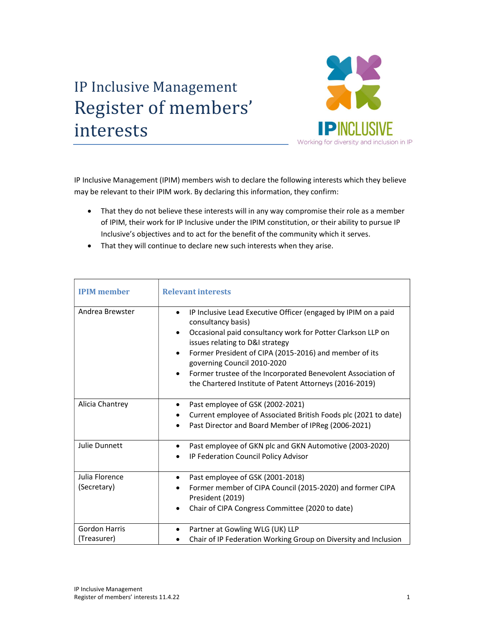## IP Inclusive Management Register of members' interests



IP Inclusive Management (IPIM) members wish to declare the following interests which they believe may be relevant to their IPIM work. By declaring this information, they confirm:

- That they do not believe these interests will in any way compromise their role as a member of IPIM, their work for IP Inclusive under the IPIM constitution, or their ability to pursue IP Inclusive's objectives and to act for the benefit of the community which it serves.
- That they will continue to declare new such interests when they arise.

| <b>IPIM</b> member                  | <b>Relevant interests</b>                                                                                                                                                                                                                                                                                                                                                                                                                         |
|-------------------------------------|---------------------------------------------------------------------------------------------------------------------------------------------------------------------------------------------------------------------------------------------------------------------------------------------------------------------------------------------------------------------------------------------------------------------------------------------------|
| Andrea Brewster                     | IP Inclusive Lead Executive Officer (engaged by IPIM on a paid<br>$\bullet$<br>consultancy basis)<br>Occasional paid consultancy work for Potter Clarkson LLP on<br>$\bullet$<br>issues relating to D&I strategy<br>Former President of CIPA (2015-2016) and member of its<br>$\bullet$<br>governing Council 2010-2020<br>Former trustee of the Incorporated Benevolent Association of<br>the Chartered Institute of Patent Attorneys (2016-2019) |
| Alicia Chantrey                     | Past employee of GSK (2002-2021)<br>Current employee of Associated British Foods plc (2021 to date)<br>Past Director and Board Member of IPReg (2006-2021)                                                                                                                                                                                                                                                                                        |
| <b>Julie Dunnett</b>                | Past employee of GKN plc and GKN Automotive (2003-2020)<br>٠<br>IP Federation Council Policy Advisor                                                                                                                                                                                                                                                                                                                                              |
| Julia Florence<br>(Secretary)       | Past employee of GSK (2001-2018)<br>٠<br>Former member of CIPA Council (2015-2020) and former CIPA<br>President (2019)<br>Chair of CIPA Congress Committee (2020 to date)<br>٠                                                                                                                                                                                                                                                                    |
| <b>Gordon Harris</b><br>(Treasurer) | Partner at Gowling WLG (UK) LLP<br>٠<br>Chair of IP Federation Working Group on Diversity and Inclusion                                                                                                                                                                                                                                                                                                                                           |